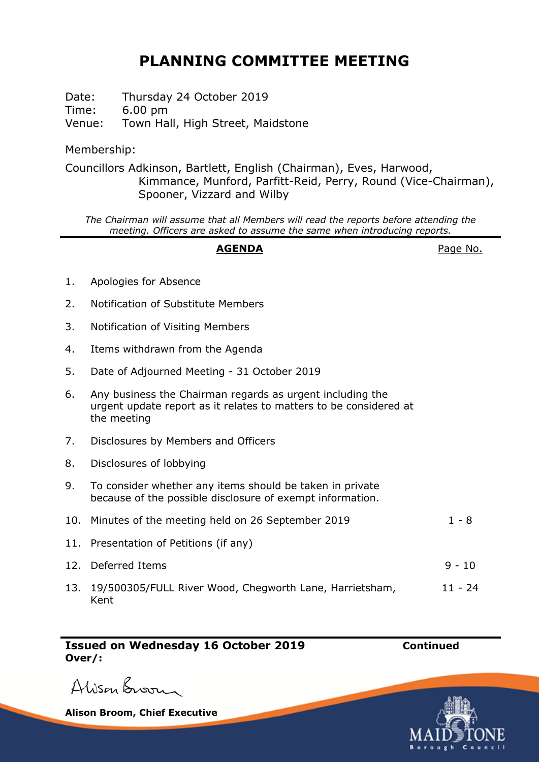## **PLANNING COMMITTEE MEETING**

Date: Thursday 24 October 2019 Time: 6.00 pm Venue: Town Hall, High Street, Maidstone

Membership:

Councillors Adkinson, Bartlett, English (Chairman), Eves, Harwood, Kimmance, Munford, Parfitt-Reid, Perry, Round (Vice-Chairman), Spooner, Vizzard and Wilby

*The Chairman will assume that all Members will read the reports before attending the meeting. Officers are asked to assume the same when introducing reports.*

## AGENDA **AGENDA**Page No.

- 1. Apologies for Absence
- 2. Notification of Substitute Members
- 3. Notification of Visiting Members
- 4. Items withdrawn from the Agenda
- 5. Date of Adjourned Meeting 31 October 2019
- 6. Any business the Chairman regards as urgent including the urgent update report as it relates to matters to be considered at the meeting
- 7. Disclosures by Members and Officers
- 8. Disclosures of lobbying
- 9. To consider whether any items should be taken in private because of the possible disclosure of exempt information.

| 10. Minutes of the meeting held on 26 September 2019        | $1 - 8$  |
|-------------------------------------------------------------|----------|
| 11. Presentation of Petitions (if any)                      |          |
| 12. Deferred Items                                          | $9 - 10$ |
| 13. 19/500305/FULL River Wood, Chegworth Lane, Harrietsham, | 11 - 24  |

Kent

**Issued on Wednesday 16 October 2019 Continued Over/:**

Alison Broom

**Alison Broom, Chief Executive**